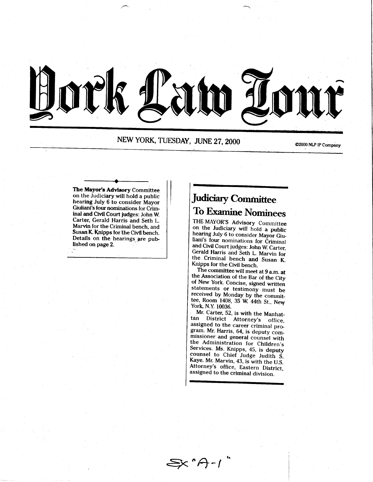

NEW YORK, TUESDAY, JUNE 27, 2000

The Mayor's Advisory Committee on the Judiciary will hold a public hearing July 6 to consider Mayor Giuliani's four nominations for Criminal and Civil Court judges: John W. Carter, Gerald Harris and Seth L. Marvin for the Criminal bench. and Susan K. Knipps for the Civil bench. Details on the hearings are published on page 2.

## Judiciary Committee To Examine Nominees

THE MAYOR'S Advisory Committee on the Judiciary will hold a public<br>hearing July 6 to consider Mayor Giuliani's four nominations for Criminal<br>and Civil Court judges: John W. Carter, Gerald Harris and Seth L. Marvin for<br>the Criminal bench and Susan K.<br>Knipps for the Civil bench.<br>The committee will meet at 9 a.m. at

The committee will meet at 9 a.m. at<br>the Association of the Bar of the City<br>of New York. Concise, signed written of New York. Concise, signed written<br>statements or testimony must be<br>received by Monday by the committee, Room 1408, 35 W. 44th St., Nevy York, N.Y. 10036.

Mr. Carter, 52, is with the Manhattan District Attorney's office, assigned to the career criminal program. Mr. Harris, 64, is deputy commissioner and general counsel with the Administration for Children's Services. Ms. Knipps, 45, is deputy<br>counsel to Chief Judge Judith S. Kaye. Mr. Marvin, 43, is with the U.S.<br>Attorney's office, Eastern District, assigned to the criminal division.

∑x "A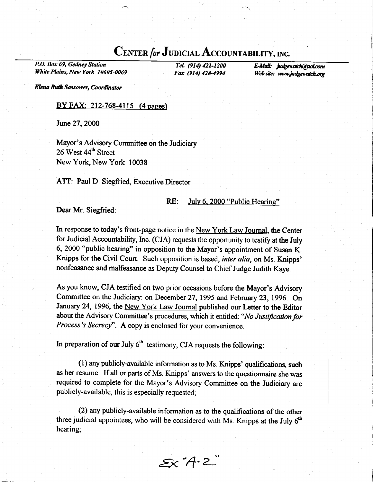## CENTER for JUDICIAL ACCOUNTABILITY, INC.

P.O. Box 69, Gedney Station White Plains, New York 10605-0069

Tel. (914) 421-1200 Fax (914) 42&4994

E-Mail: judgewatch@gol.com Web site: www.judgewatch.org

Elena Ruth Sassower, Coordinator

### BY FAX: 212-768-4115 (4 pages)

June27,2000

Mayor's Advisory Committee on the Judiciary 26 West 44<sup>th</sup> Street New York, New York 10038

ATT: Paul D. Siegfried, Executive Director

### RE: Julv 6. 2000 "Public Hearins"

Dear Mr. Siegfried:

In response to today's front-page notice in the New York Law Joumal, the Center for Judicial Accountability, Inc. (CJA) requests the opportunity to testify at the July 6, 2000 "public hearing" in opposition to the Mayor's appointment of Susan K. Knipps for the Civil Court. Such opposition is based, *inter alia*, on Ms. Knipps' nonfeasance and malfeasance as Deputy Counsel to Chief Judge Judith Kaye.

As you know, CJA testified on two prior occasions before the Mayor's Advisory Committee on the Judiciary: on December 27, 1995 and February 23, 1996. On January 24, 1996, the New York Law Journal published our Letter to the Editor about the Advisory Committee's procedures, which it entitled: "No Justification for Process's Secrecy". A copy is enclosed for your convenience.

In preparation of our July  $6<sup>th</sup>$  testimony, CJA requests the following:

 $(1)$  any publicly-available information as to Ms. Knipps' qualifications, such as her resume. If all or parts of Ms. Knipps' answers to the questionnaire she was required to complete for the Mayor's Advisory Committee on the Judiciary are publicly-available, this is especially requested;

 $(2)$  any publicly-available information as to the qualifications of the other three judicial appointees, who will be considered with Ms. Knipps at the July  $6<sup>th</sup>$ hearing;

 $\xi x^T A \cdot 2$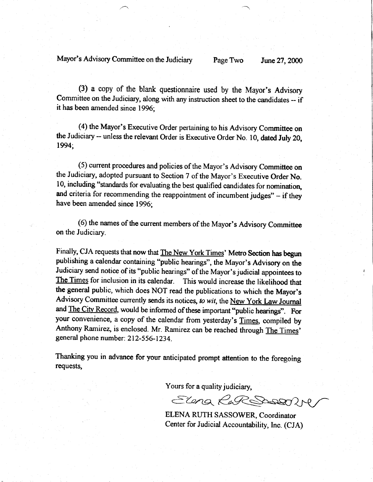Mayor's Advisory Committee on the Judiciary Page Two June 27, 2000

(3) a copy of the blank questionnaire used by the Mayor's Advisory Committee on the Judiciary, along with any instuction sheet to the candidates -- if it has been amended since 1996;

(4) the Mayor's Executive Order pertaining to his Advisory Committee on the Judiciary -- unless the relevant Order is Executive Order No. 10, dated July 20, 1994;

(5) current procedures and policies of the Mayor's Advisory Committee on the Judiciary, adopted pursuant to Section 7 of the Mayor's Executive Order No. 10, including "standards for evaluating the best qualified candidates for nominatioq and criteria for recommending the reappointment of incumbent judges" - if they have been amended since 1996;

(6) the names of the current members of the Mayor's Advisory Committee on the Judiciary.

Finally, CJA requests that now that The New York Times' Metro Section has begun publishing a calendar containing "public hearings", the Mayor's Advisory on the Judiciary send notice of its "public hearings" of the Mayor's judicial appointees to The Times for inclusion in its calendar. This would increase the likelihood that This would increase the likelihood that the general public, which does NOT read the publications to which the Mayor's Advisory Committee currently sends its notices, to wit, the New York Law Journal and The City Record, would be informed of these important "public hearings". For your convenience, a copy of the calendar from yesterday's Times, compiled by Anthony Ramirez, is enclosed. Mr. Ramirez can be reached through The Times' general phone number: 212-556-1234.

Thanking you in advance for your anticipated prompt attention to the foregoing requests,

Yours for a quality judiciary,

Elena RaRSDOSERIN

ELENA RUTH SASSOWER, Coordinator Center for Judicial Accountability, Inc. (CJA)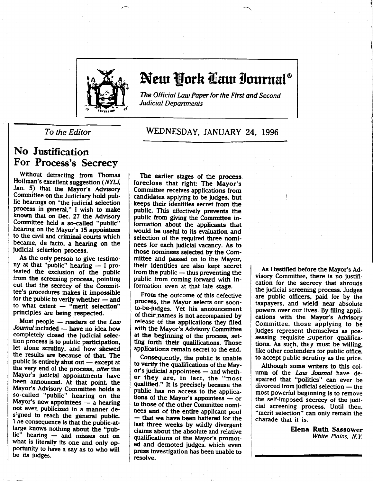

# New York Caw Iournal®

The Official Law Paper for the First and Second **Judicial Departments** 

### No Justification For Process's Secrecy

Without detracting from Thomas Hoffman's excellent suggestion (NYLJ, Jan. 5) that the Mayor's Advisory Committee on the Judiciary hold public hearings on "the judicial selection process in general," I wish to make known that on Dec. 27 the Advisory Committee held a so-called "public" hearing on the Mayor's 15 appointees to the civil and criminal courts which became, de facto, a hearing on the judicial selection process.

As the only person to give testimony at that "public" hearing  $-1$  protested the exdusion of the public from the screening process, pointing out that the secrecy of the Committee's procedures makes it impossible for the public to verify whether  $-$  and to what extent  $-$  "merit selection" principles are being respected.

Most people - readers of the Law Journal included - have no idea how completely closed the judicial selection process is to public participation, let alone scrutiny, and how skewed the results are because of thaL The public is entirely shut out  $-$  except at the very end of the process, after the Mayor's iudicial appointments have been announced. At that point, the Mayor's Advisory Committee holds a so-called "public" hearing on the Mayor's new appointees  $-$  a hearing not even publicized in a manner de s'gned to reach the general public. 1 ne consequence is that the public-atlarge knows nothing about the "public" hearing - and misses out on what is literally its one and only op portunity to have a say as to who will be its judges.

### To the Editor **WEDNESDAY, JANUARY 24, 1996**

The earlier stages of the process. foreclose that right: The Mayor's Committee receives applications from candidates applying to be judges, but keeps their identities secret from the public. This effectively prevents the public from giving the Committee information about the applicants that would be useful to its evaluation and selection of the required three nominees for each judicial vacancy. As to those nominees selected by the Committee and passed on to the Mayor, their identities are also kept secret from the public  $-$  thus preventing the public from coming forward with information even at that late stage.

From the outcome of this defective process, the Mayor selects our soonto-be'judges. Yet his. announcement of their.pames is not accompanied by release of the applications they filed with the Mayor's Advisory Committee at the beginning of the process, setting forth their qualifications. Those applications remain secret to the end.

Conseguently, the public is unable to verify the qualifications of the Mayor's judicial appointees - and whether they are, in fact, the "most qualified." It is precisely because the public has no access to the applications of the Mayor's appointees  $-$  or to those of the other Committee nominees and of the entire applicant pool - that we have been battered for the last three weeks by wildly divergent claims about the absolute and relative qualifications of the Mayor's promoted and demoted iudges, which even press investigation has been unable to resolve.

As I testified before the Mayor's Advisory Committee, there is no justification for the secrecy that shrouds the judiciai screening process. Judges are public officers, paid for by the taxpayers, and wield near absolute powers over our lives. By filing applications with the Mayor's Advisory Committee, those applying to be iudges represent themselves as possessing requisite superior qualifications. As such, they must be willing, like other contenders for public office, to accept public scrutiny as the price.

Although some writers to this column of the *Law Journal* have despaired that "politics" can ever be  $divorced from judicial selection - the$ most powerful beginning is to remove the self-imposed secrecy of the judi-<br>cial screening process. Until then, "merit selection" can only remain the charade that it is.

> Elena Ruth Sassower White Plains,  $N, Y$ .